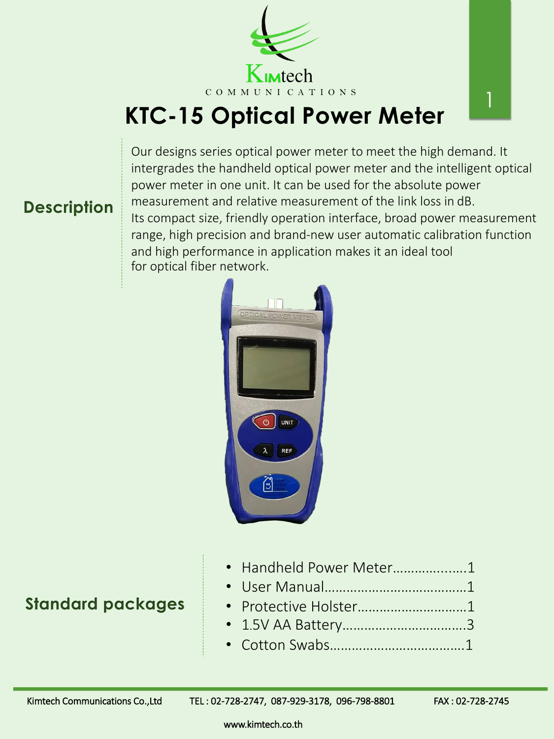# **KTC-15 Optical Power Meter**







### **Standard packages**

www.kimtech.co.th

| · Handheld Power Meter1 |  |
|-------------------------|--|
|                         |  |
| • Protective Holster1   |  |
|                         |  |
|                         |  |

Kimtech Communications Co.,Ltd TEL: 02-728-2747, 087-929-3178, 096-798-8801 FAX: 02-728-2745

Our designs series optical power meter to meet the high demand. It intergrades the handheld optical power meter and the intelligent optical power meter in one unit. It can be used for the absolute power measurement and relative measurement of the link loss in dB. Its compact size, friendly operation interface, broad power measurement range, high precision and brand-new user automatic calibration function and high performance in application makes it an ideal tool for optical fiber network.

1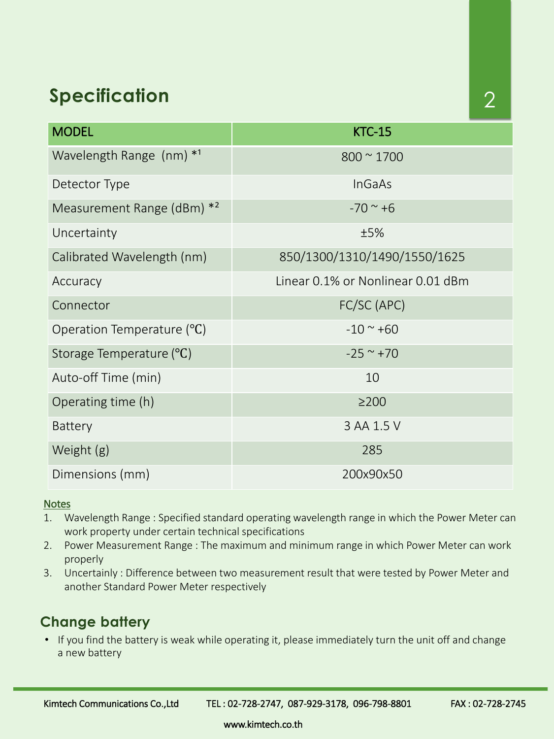Kimtech Communications Co.,Ltd TEL : 02-728-2747, 087-929-3178, 096-798-8801 FAX : 02-728-2745

www.kimtech.co.th

## **Specification**

| <b>MODEL</b>                           | <b>KTC-15</b>                     |  |
|----------------------------------------|-----------------------------------|--|
| Wavelength Range $(nm)$ * <sup>1</sup> | $800 \approx 1700$                |  |
| Detector Type                          | <b>InGaAs</b>                     |  |
| Measurement Range (dBm) * <sup>2</sup> | $-70$ ~ +6                        |  |
| Uncertainty                            | ±5%                               |  |
| Calibrated Wavelength (nm)             | 850/1300/1310/1490/1550/1625      |  |
| Accuracy                               | Linear 0.1% or Nonlinear 0.01 dBm |  |
| Connector                              | FC/SC (APC)                       |  |
| Operation Temperature (°C)             | $-10 \sim +60$                    |  |
| Storage Temperature (°C)               | $-25$ ~ +70                       |  |
| Auto-off Time (min)                    | 10                                |  |
| Operating time (h)                     | $\geq$ 200                        |  |
| <b>Battery</b>                         | 3 AA 1.5 V                        |  |
| Weight (g)                             | 285                               |  |
| Dimensions (mm)                        | 200x90x50                         |  |

#### **Notes**

1. Wavelength Range : Specified standard operating wavelength range in which the Power Meter can

- work property under certain technical specifications
- 2. Power Measurement Range : The maximum and minimum range in which Power Meter can work properly
- 3. Uncertainly : Difference between two measurement result that were tested by Power Meter and another Standard Power Meter respectively

### **Change battery**

• If you find the battery is weak while operating it, please immediately turn the unit off and change a new battery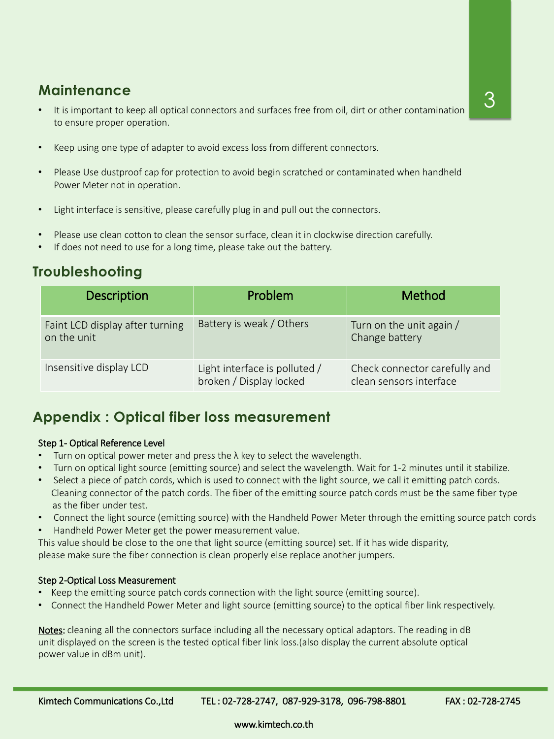www.kimtech.co.th

### **Maintenance**

- It is important to keep all optical connectors and surfaces free from oil, dirt or other contamination to ensure proper operation.
- Keep using one type of adapter to avoid excess loss from different connectors.
- Please Use dustproof cap for protection to avoid begin scratched or contaminated when handheld Power Meter not in operation.
- Light interface is sensitive, please carefully plug in and pull out the connectors.
- Please use clean cotton to clean the sensor surface, clean it in clockwise direction carefully.
- If does not need to use for a long time, please take out the battery.

- Turn on optical power meter and press the  $\lambda$  key to select the wavelength.
- Turn on optical light source (emitting source) and select the wavelength. Wait for 1-2 minutes until it stabilize.
- Select a piece of patch cords, which is used to connect with the light source, we call it emitting patch cords. Cleaning connector of the patch cords. The fiber of the emitting source patch cords must be the same fiber type as the fiber under test.
- Connect the light source (emitting source) with the Handheld Power Meter through the emitting source patch cords

| <b>Description</b>                             | Problem                                                  | <b>Method</b>                                            |
|------------------------------------------------|----------------------------------------------------------|----------------------------------------------------------|
| Faint LCD display after turning<br>on the unit | Battery is weak / Others                                 | Turn on the unit again /<br>Change battery               |
| Insensitive display LCD                        | Light interface is polluted /<br>broken / Display locked | Check connector carefully and<br>clean sensors interface |

### **Troubleshooting**

#### Step 1- Optical Reference Level

- Keep the emitting source patch cords connection with the light source (emitting source).
- Connect the Handheld Power Meter and light source (emitting source) to the optical fiber link respectively.

Notes: cleaning all the connectors surface including all the necessary optical adaptors. The reading in dB unit displayed on the screen is the tested optical fiber link loss.(also display the current absolute optical power value in dBm unit).

Kimtech Communications Co.,Ltd TEL: 02-728-2747, 087-929-3178, 096-798-8801 FAX: 02-728-2745

• Handheld Power Meter get the power measurement value.

This value should be close to the one that light source (emitting source) set. If it has wide disparity, please make sure the fiber connection is clean properly else replace another jumpers.

#### Step 2-Optical Loss Measurement

### **Appendix : Optical fiber loss measurement**